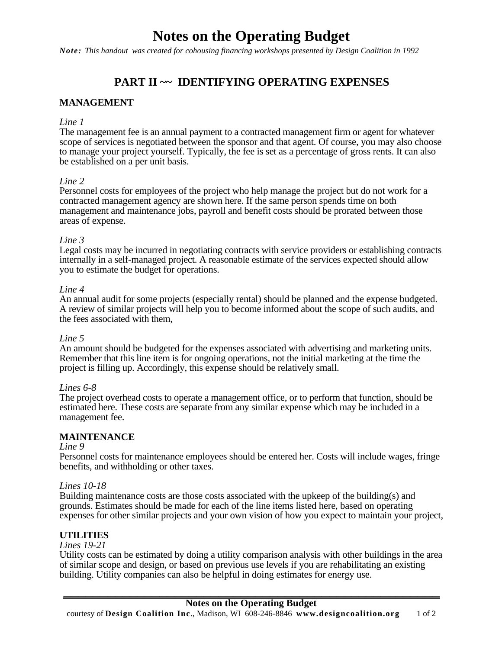# **Notes on the Operating Budget**

*Note: This handout was created for cohousing financing workshops presented by Design Coalition in 1992* 

# **PART II ~~ IDENTIFYING OPERATING EXPENSES**

### **MANAGEMENT**

#### *Line 1*

The management fee is an annual payment to a contracted management firm or agent for whatever scope of services is negotiated between the sponsor and that agent. Of course, you may also choose to manage your project yourself. Typically, the fee is set as a percentage of gross rents. It can also be established on a per unit basis.

#### *Line 2*

Personnel costs for employees of the project who help manage the project but do not work for a contracted management agency are shown here. If the same person spends time on both management and maintenance jobs, payroll and benefit costs should be prorated between those areas of expense.

#### *Line 3*

Legal costs may be incurred in negotiating contracts with service providers or establishing contracts internally in a self-managed project. A reasonable estimate of the services expected should allow you to estimate the budget for operations.

#### *Line 4*

An annual audit for some projects (especially rental) should be planned and the expense budgeted. A review of similar projects will help you to become informed about the scope of such audits, and the fees associated with them,

#### *Line 5*

An amount should be budgeted for the expenses associated with advertising and marketing units. Remember that this line item is for ongoing operations, not the initial marketing at the time the project is filling up. Accordingly, this expense should be relatively small.

#### *Lines 6-8*

The project overhead costs to operate a management office, or to perform that function, should be estimated here. These costs are separate from any similar expense which may be included in a management fee.

#### **MAINTENANCE**

#### *Line 9*

Personnel costs for maintenance employees should be entered her. Costs will include wages, fringe benefits, and withholding or other taxes.

#### *Lines 10-18*

Building maintenance costs are those costs associated with the upkeep of the building(s) and grounds. Estimates should be made for each of the line items listed here, based on operating expenses for other similar projects and your own vision of how you expect to maintain your project,

### **UTILITIES**

#### *Lines 19-21*

Utility costs can be estimated by doing a utility comparison analysis with other buildings in the area of similar scope and design, or based on previous use levels if you are rehabilitating an existing building. Utility companies can also be helpful in doing estimates for energy use.

**\_\_\_\_\_\_\_\_\_\_\_\_\_\_\_\_\_\_\_\_\_\_\_\_\_\_\_\_\_\_\_\_\_\_\_\_\_\_\_\_\_\_\_\_\_\_\_\_\_\_\_**